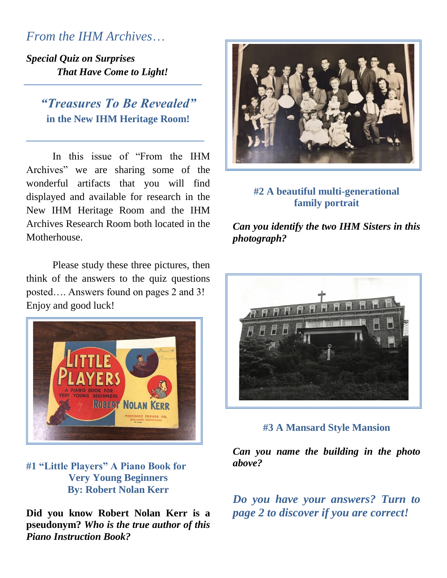*From the IHM Archives*…

*Special Quiz on Surprises That Have Come to Light!*

> *"Treasures To Be Revealed"* **in the New IHM Heritage Room!**

In this issue of "From the IHM Archives" we are sharing some of the wonderful artifacts that you will find displayed and available for research in the New IHM Heritage Room and the IHM Archives Research Room both located in the Motherhouse.

Please study these three pictures, then think of the answers to the quiz questions posted…. Answers found on pages 2 and 3! Enjoy and good luck!



**#1 "Little Players" A Piano Book for Very Young Beginners By: Robert Nolan Kerr**

**Did you know Robert Nolan Kerr is a pseudonym?** *Who is the true author of this Piano Instruction Book?*



### **#2 A beautiful multi-generational family portrait**

*Can you identify the two IHM Sisters in this photograph?*



**#3 A Mansard Style Mansion**

*Can you name the building in the photo above?*

*Do you have your answers? Turn to page 2 to discover if you are correct!*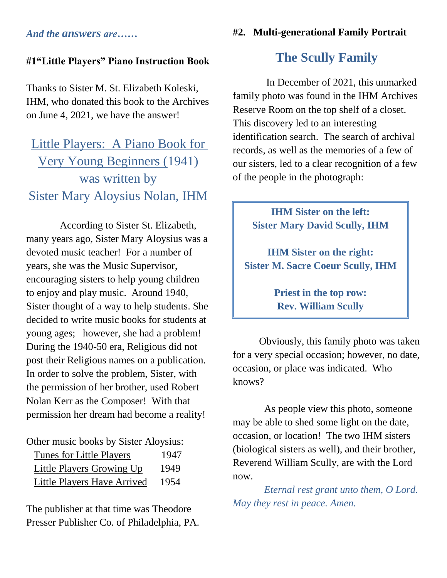#### **#2. Multi-generational Family Portrait**

*And the answers are……*

### **#1"Little Players" Piano Instruction Book**

Thanks to Sister M. St. Elizabeth Koleski, IHM, who donated this book to the Archives on June 4, 2021, we have the answer!

# Little Players: A Piano Book for Very Young Beginners (1941) was written by Sister Mary Aloysius Nolan, IHM

According to Sister St. Elizabeth, many years ago, Sister Mary Aloysius was a devoted music teacher! For a number of years, she was the Music Supervisor, encouraging sisters to help young children to enjoy and play music. Around 1940, Sister thought of a way to help students. She decided to write music books for students at young ages; however, she had a problem! During the 1940-50 era, Religious did not post their Religious names on a publication. In order to solve the problem, Sister, with the permission of her brother, used Robert Nolan Kerr as the Composer! With that permission her dream had become a reality!

| Other music books by Sister Aloysius: |      |
|---------------------------------------|------|
| <b>Tunes for Little Players</b>       | 1947 |
| Little Players Growing Up             | 1949 |
| Little Players Have Arrived           | 1954 |

The publisher at that time was Theodore Presser Publisher Co. of Philadelphia, PA.

### **The Scully Family**

In December of 2021, this unmarked family photo was found in the IHM Archives Reserve Room on the top shelf of a closet. This discovery led to an interesting identification search. The search of archival records, as well as the memories of a few of our sisters, led to a clear recognition of a few of the people in the photograph:

> **IHM Sister on the left: Sister Mary David Scully, IHM**

**IHM Sister on the right: Sister M. Sacre Coeur Scully, IHM**

> **Priest in the top row: Rev. William Scully**

Obviously, this family photo was taken for a very special occasion; however, no date, occasion, or place was indicated. Who knows?

 As people view this photo, someone may be able to shed some light on the date, occasion, or location! The two IHM sisters (biological sisters as well), and their brother, Reverend William Scully, are with the Lord now.

 *Eternal rest grant unto them, O Lord. May they rest in peace. Amen.*